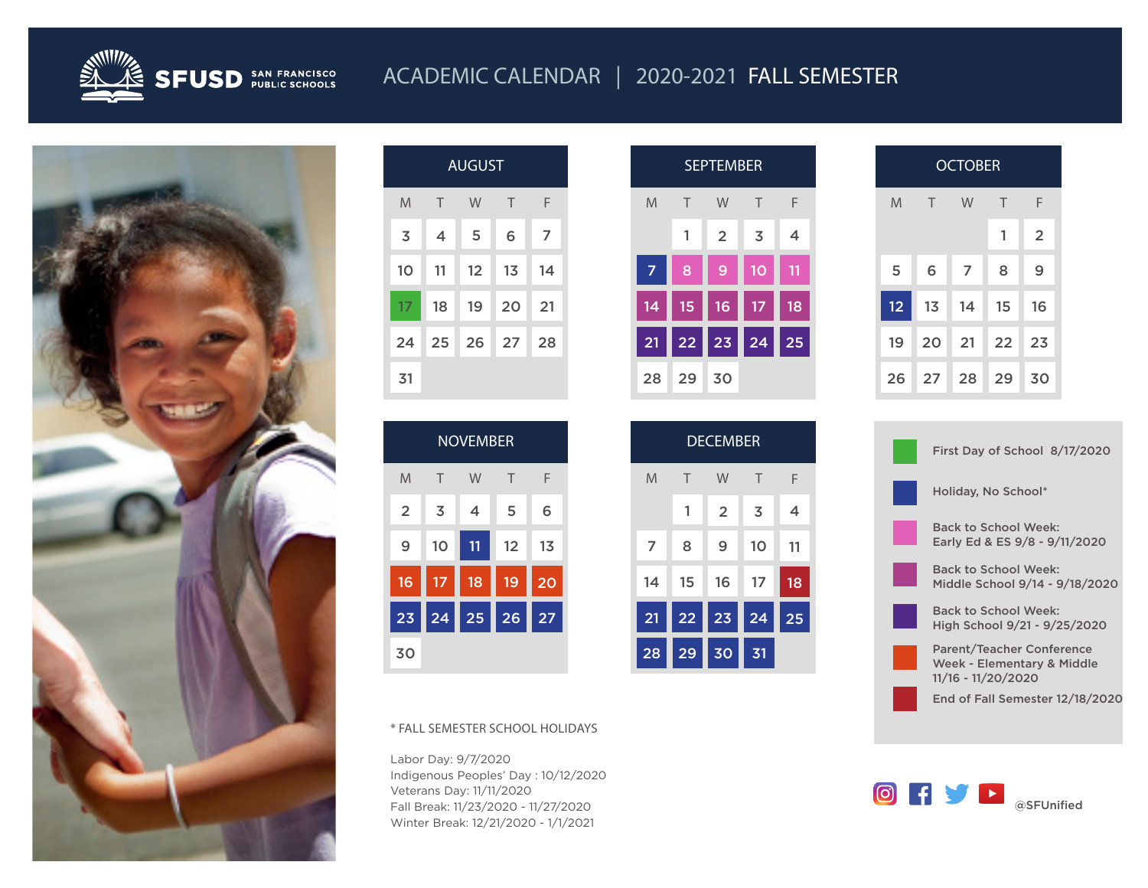

## ACADEMIC CALENDAR | 2020-2021 FALL SEMESTER



| <b>AUGUST</b> |        |    |                |    |  |  |
|---------------|--------|----|----------------|----|--|--|
| M             | $\top$ | W  | Τ              | F  |  |  |
| 3             | 4      | 5  | 6              | 7  |  |  |
| 10            | 11     | 12 | 1 <sub>3</sub> | 14 |  |  |
| 17            | 18     | 19 | 20             | 21 |  |  |
| 24            | 25     | 26 | 27             | 28 |  |  |
| 31            |        |    |                |    |  |  |

NOVEMBER

M T W T F

 $2 \mid 3 \mid 4 \mid 5$ 

9 10 11 12 13

16 17 18 19 20

23 24 25 26 27

\* FALL SEMESTER SCHOOL HOLIDAYS

Indigenous Peoples' Day : 10/12/2020

Fall Break: 11/23/2020 - 11/27/2020 Winter Break: 12/21/2020 - 1/1/2021

Labor Day: 9/7/2020

Veterans Day: 11/11/2020

30

6

|    |    | <b>SEPTEMBER</b> |                |    |
|----|----|------------------|----------------|----|
| M  | Τ  | W                | $\top$         | F  |
|    | 1  | $\overline{2}$   | $\overline{3}$ | 4  |
| 7  | 8  | 9                | 10             | 11 |
| 14 | 15 | 16               | 17             | 18 |
| 21 | 22 | 23               | 24             | 25 |
| 28 | 29 | 30               |                |    |

|                     | <b>SEPTEMBER</b> |        |                | <b>OCTOBER</b> |        |    |        |                |
|---------------------|------------------|--------|----------------|----------------|--------|----|--------|----------------|
| W                   |                  | $\top$ | F              | M              | $\top$ | W  | $\top$ | F              |
| $\overline{2}$<br>3 |                  |        | $\overline{4}$ |                |        |    | 1      | $\overline{2}$ |
| 9                   |                  | 10     | 11             | 5              | 6      | 7  | 8      | 9              |
| 16<br>18<br>17      |                  |        |                | 12             | 13     | 14 | 15     | 16             |
| 23<br>25<br>24      |                  |        |                | 19             | 20     | 21 | 22     | 23             |
| 30                  |                  |        |                | 26             | 27     | 28 | 29     | 30             |

| <b>DECEMBER</b> |                 |                |    |    |  |  |
|-----------------|-----------------|----------------|----|----|--|--|
| M               | Τ               | W              | Τ  | F  |  |  |
|                 | 1               | $\overline{2}$ | 3  | 4  |  |  |
| 7               | 8               | 9              | 10 | 11 |  |  |
| 14              | 15              | 16             | 17 | 18 |  |  |
| 21              | 22              | 23             | 24 | 25 |  |  |
| 28              | $\overline{29}$ | $\vert$ 30     | 31 |    |  |  |

| First Day of School 8/17/2020                                                        |
|--------------------------------------------------------------------------------------|
| Holiday, No School*                                                                  |
| Back to School Week:<br>Early Ed & ES 9/8 - 9/11/2020                                |
| <b>Back to School Week:</b><br>Middle School 9/14 - 9/18/2020                        |
| Back to School Week:<br>High School 9/21 - 9/25/2020                                 |
| <b>Parent/Teacher Conference</b><br>Week - Elementary & Middle<br>11/16 - 11/20/2020 |
| End of Fall Semester 12/18/2020                                                      |